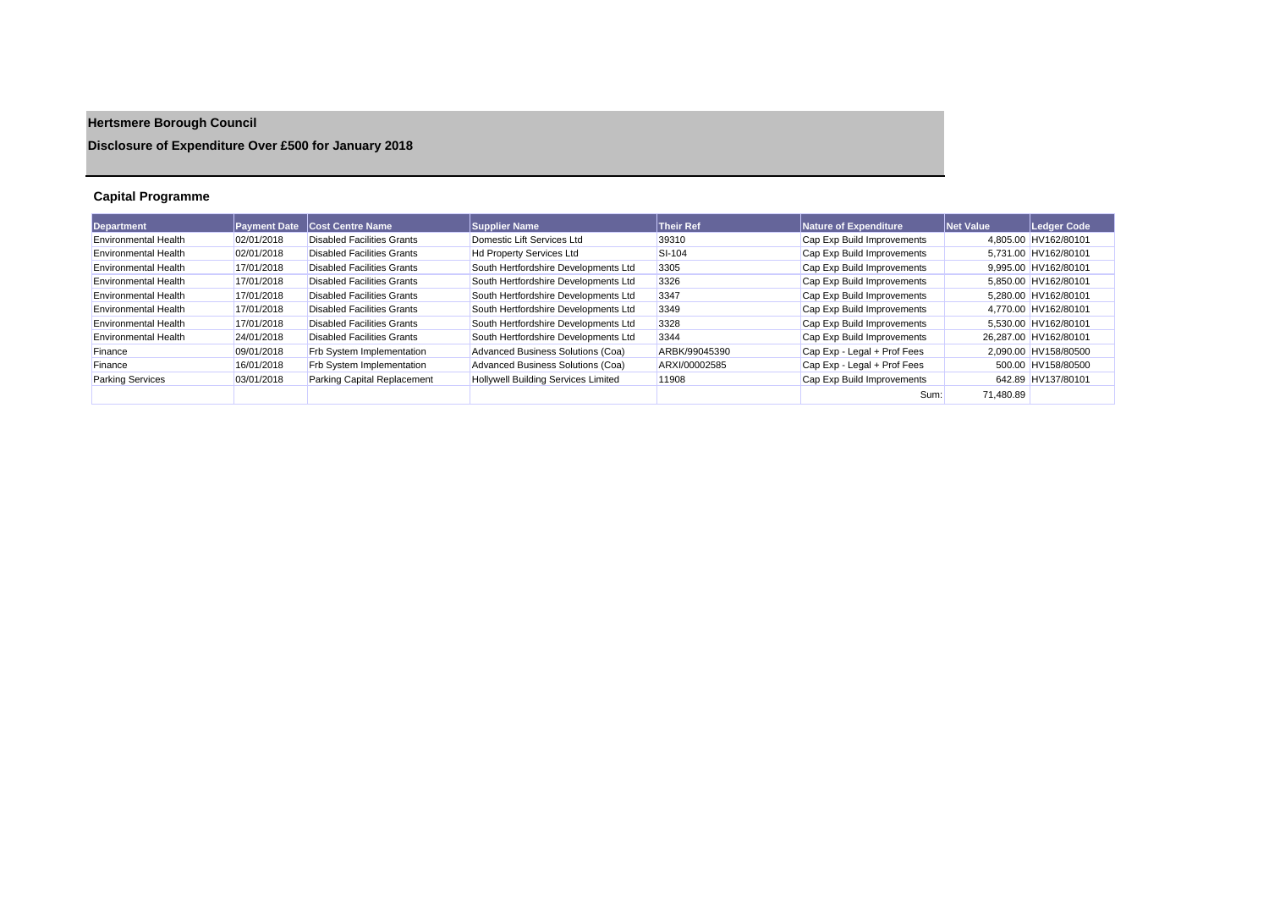# **Hertsmere Borough Council**

## **Disclosure of Expenditure Over £500 for January 2018**

## **Capital Programme**

| Department                  |            | <b>Payment Date Cost Centre Name</b> | <b>Supplier Name</b>                       | <b>Their Ref</b> | Nature of Expenditure       | <b>Net Value</b> | Ledger Code           |
|-----------------------------|------------|--------------------------------------|--------------------------------------------|------------------|-----------------------------|------------------|-----------------------|
| <b>Environmental Health</b> | 02/01/2018 | <b>Disabled Facilities Grants</b>    | Domestic Lift Services Ltd                 | 39310            | Cap Exp Build Improvements  |                  | 4.805.00 HV162/80101  |
| <b>Environmental Health</b> | 02/01/2018 | Disabled Facilities Grants           | <b>Hd Property Services Ltd</b>            | SI-104           | Cap Exp Build Improvements  |                  | 5.731.00 HV162/80101  |
| <b>Environmental Health</b> | 17/01/2018 | Disabled Facilities Grants           | South Hertfordshire Developments Ltd       | 3305             | Cap Exp Build Improvements  |                  | 9.995.00 HV162/80101  |
| Environmental Health        | 17/01/2018 | <b>Disabled Facilities Grants</b>    | South Hertfordshire Developments Ltd       | 3326             | Cap Exp Build Improvements  |                  | 5.850.00 HV162/80101  |
| <b>Environmental Health</b> | 17/01/2018 | <b>Disabled Facilities Grants</b>    | South Hertfordshire Developments Ltd       | 3347             | Cap Exp Build Improvements  |                  | 5.280.00 HV162/80101  |
| <b>Environmental Health</b> | 17/01/2018 | <b>Disabled Facilities Grants</b>    | South Hertfordshire Developments Ltd       | 3349             | Cap Exp Build Improvements  |                  | 4.770.00 HV162/80101  |
| <b>Environmental Health</b> | 17/01/2018 | Disabled Facilities Grants           | South Hertfordshire Developments Ltd       | 3328             | Cap Exp Build Improvements  |                  | 5.530.00 HV162/80101  |
| <b>Environmental Health</b> | 24/01/2018 | <b>Disabled Facilities Grants</b>    | South Hertfordshire Developments Ltd       | 3344             | Cap Exp Build Improvements  |                  | 26.287.00 HV162/80101 |
| Finance                     | 09/01/2018 | <b>Frb System Implementation</b>     | Advanced Business Solutions (Coa)          | ARBK/99045390    | Cap Exp - Legal + Prof Fees |                  | 2.090.00 HV158/80500  |
| Finance                     | 16/01/2018 | Frb System Implementation            | Advanced Business Solutions (Coa)          | ARXI/00002585    | Cap Exp - Legal + Prof Fees |                  | 500.00 HV158/80500    |
| <b>Parking Services</b>     | 03/01/2018 | Parking Capital Replacement          | <b>Hollywell Building Services Limited</b> | 11908            | Cap Exp Build Improvements  |                  | 642.89 HV137/80101    |
|                             |            |                                      |                                            |                  | Sum:                        | 71.480.89        |                       |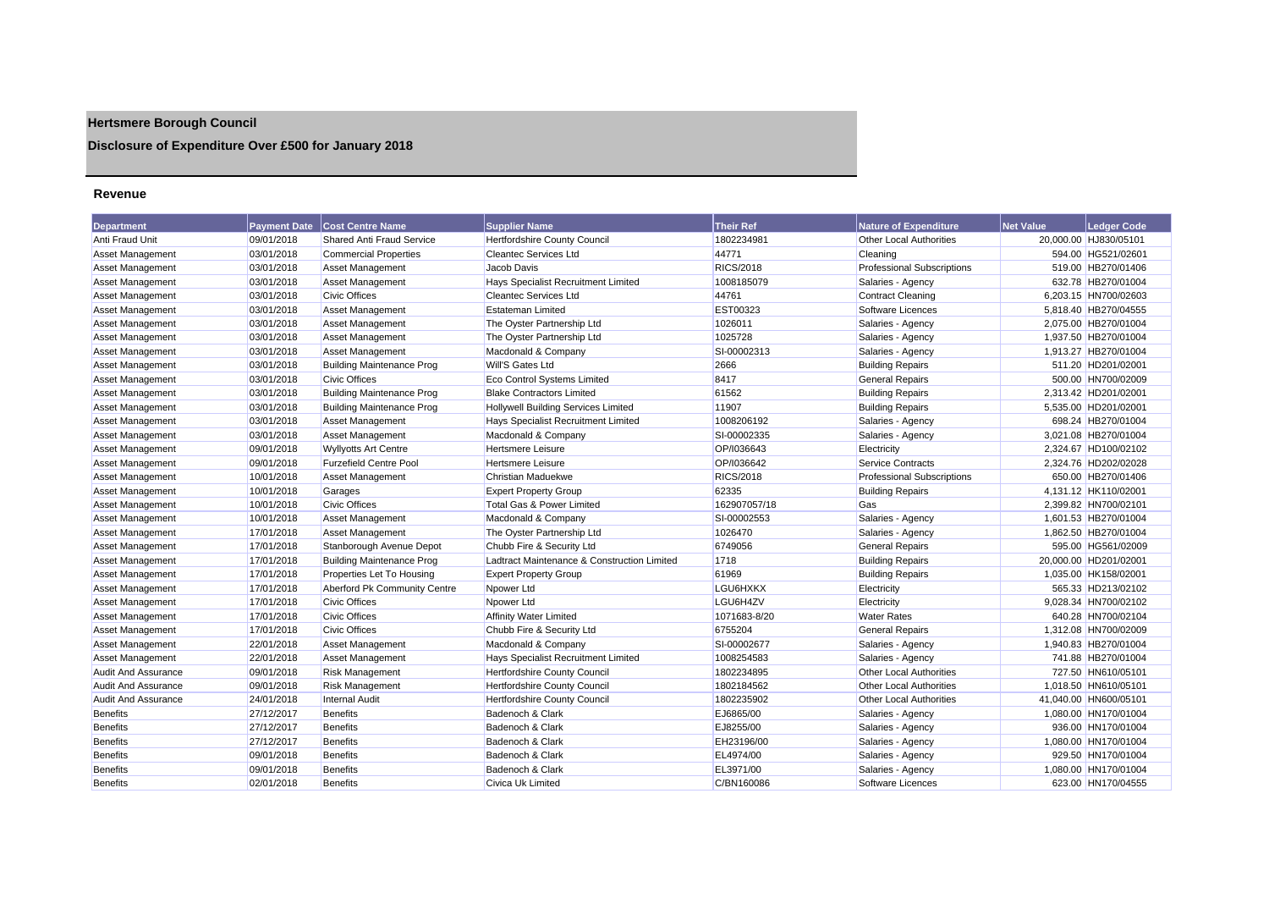## **Hertsmere Borough Council**

## **Disclosure of Expenditure Over £500 for January 2018**

#### **Revenue**

| <b>Department</b>          | <b>Payment Date</b> | <b>Cost Centre Name</b>          | <b>Supplier Name</b>                        | <b>Their Ref</b> | <b>Nature of Expenditure</b>      | <b>Net Value</b> | <b>Ledger Code</b>    |
|----------------------------|---------------------|----------------------------------|---------------------------------------------|------------------|-----------------------------------|------------------|-----------------------|
| Anti Fraud Unit            | 09/01/2018          | <b>Shared Anti Fraud Service</b> | <b>Hertfordshire County Council</b>         | 1802234981       | <b>Other Local Authorities</b>    |                  | 20.000.00 HJ830/05101 |
| <b>Asset Management</b>    | 03/01/2018          | <b>Commercial Properties</b>     | <b>Cleantec Services Ltd</b>                | 44771            | Cleaning                          |                  | 594.00 HG521/02601    |
| Asset Management           | 03/01/2018          | <b>Asset Management</b>          | Jacob Davis                                 | <b>RICS/2018</b> | <b>Professional Subscriptions</b> |                  | 519.00 HB270/01406    |
| Asset Management           | 03/01/2018          | <b>Asset Management</b>          | Hays Specialist Recruitment Limited         | 1008185079       | Salaries - Agency                 |                  | 632.78 HB270/01004    |
| Asset Management           | 03/01/2018          | <b>Civic Offices</b>             | <b>Cleantec Services Ltd</b>                | 44761            | <b>Contract Cleaning</b>          |                  | 6.203.15 HN700/02603  |
| Asset Management           | 03/01/2018          | <b>Asset Management</b>          | <b>Estateman Limited</b>                    | EST00323         | Software Licences                 |                  | 5,818.40 HB270/04555  |
| Asset Management           | 03/01/2018          | <b>Asset Management</b>          | The Oyster Partnership Ltd                  | 1026011          | Salaries - Agency                 |                  | 2,075.00 HB270/01004  |
| Asset Management           | 03/01/2018          | <b>Asset Management</b>          | The Oyster Partnership Ltd                  | 1025728          | Salaries - Agency                 |                  | 1,937.50 HB270/01004  |
| Asset Management           | 03/01/2018          | <b>Asset Management</b>          | Macdonald & Company                         | SI-00002313      | Salaries - Agency                 |                  | 1,913.27 HB270/01004  |
| Asset Management           | 03/01/2018          | <b>Building Maintenance Prog</b> | Will'S Gates Ltd                            | 2666             | <b>Building Repairs</b>           |                  | 511.20 HD201/02001    |
| Asset Management           | 03/01/2018          | <b>Civic Offices</b>             | Eco Control Systems Limited                 | 8417             | <b>General Repairs</b>            |                  | 500.00 HN700/02009    |
| Asset Management           | 03/01/2018          | <b>Building Maintenance Prog</b> | <b>Blake Contractors Limited</b>            | 61562            | <b>Building Repairs</b>           |                  | 2,313.42 HD201/02001  |
| Asset Management           | 03/01/2018          | <b>Building Maintenance Prog</b> | <b>Hollywell Building Services Limited</b>  | 11907            | <b>Building Repairs</b>           |                  | 5,535.00 HD201/02001  |
| Asset Management           | 03/01/2018          | <b>Asset Management</b>          | Hays Specialist Recruitment Limited         | 1008206192       | Salaries - Agency                 |                  | 698.24 HB270/01004    |
| <b>Asset Management</b>    | 03/01/2018          | <b>Asset Management</b>          | Macdonald & Company                         | SI-00002335      | Salaries - Agency                 |                  | 3,021.08 HB270/01004  |
| Asset Management           | 09/01/2018          | <b>Wyllyotts Art Centre</b>      | <b>Hertsmere Leisure</b>                    | OP/1036643       | Electricity                       |                  | 2.324.67 HD100/02102  |
| Asset Management           | 09/01/2018          | <b>Furzefield Centre Pool</b>    | <b>Hertsmere Leisure</b>                    | OP/1036642       | Service Contracts                 |                  | 2.324.76 HD202/02028  |
| Asset Management           | 10/01/2018          | <b>Asset Management</b>          | <b>Christian Maduekwe</b>                   | <b>RICS/2018</b> | <b>Professional Subscriptions</b> |                  | 650.00 HB270/01406    |
| Asset Management           | 10/01/2018          | Garages                          | <b>Expert Property Group</b>                | 62335            | <b>Building Repairs</b>           |                  | 4,131.12 HK110/02001  |
| <b>Asset Management</b>    | 10/01/2018          | <b>Civic Offices</b>             | Total Gas & Power Limited                   | 162907057/18     | Gas                               |                  | 2.399.82 HN700/02101  |
| Asset Management           | 10/01/2018          | Asset Management                 | Macdonald & Company                         | SI-00002553      | Salaries - Agency                 |                  | 1,601.53 HB270/01004  |
| Asset Management           | 17/01/2018          | <b>Asset Management</b>          | The Oyster Partnership Ltd                  | 1026470          | Salaries - Agency                 |                  | 1,862.50 HB270/01004  |
| Asset Management           | 17/01/2018          | Stanborough Avenue Depot         | Chubb Fire & Security Ltd                   | 6749056          | <b>General Repairs</b>            |                  | 595.00 HG561/02009    |
| Asset Management           | 17/01/2018          | <b>Building Maintenance Prog</b> | Ladtract Maintenance & Construction Limited | 1718             | <b>Building Repairs</b>           |                  | 20,000.00 HD201/02001 |
| <b>Asset Management</b>    | 17/01/2018          | Properties Let To Housing        | <b>Expert Property Group</b>                | 61969            | <b>Building Repairs</b>           |                  | 1,035.00 HK158/02001  |
| Asset Management           | 17/01/2018          | Aberford Pk Community Centre     | Npower Ltd                                  | LGU6HXKX         | Electricity                       |                  | 565.33 HD213/02102    |
| Asset Management           | 17/01/2018          | <b>Civic Offices</b>             | Npower Ltd                                  | LGU6H4ZV         | Electricity                       |                  | 9,028.34 HN700/02102  |
| Asset Management           | 17/01/2018          | <b>Civic Offices</b>             | <b>Affinity Water Limited</b>               | 1071683-8/20     | <b>Water Rates</b>                |                  | 640.28 HN700/02104    |
| Asset Management           | 17/01/2018          | <b>Civic Offices</b>             | Chubb Fire & Security Ltd                   | 6755204          | <b>General Repairs</b>            |                  | 1,312.08 HN700/02009  |
| <b>Asset Management</b>    | 22/01/2018          | <b>Asset Management</b>          | Macdonald & Company                         | SI-00002677      | Salaries - Agency                 |                  | 1,940.83 HB270/01004  |
| <b>Asset Management</b>    | 22/01/2018          | <b>Asset Management</b>          | Hays Specialist Recruitment Limited         | 1008254583       | Salaries - Agency                 |                  | 741.88 HB270/01004    |
| <b>Audit And Assurance</b> | 09/01/2018          | <b>Risk Management</b>           | Hertfordshire County Council                | 1802234895       | <b>Other Local Authorities</b>    |                  | 727.50 HN610/05101    |
| <b>Audit And Assurance</b> | 09/01/2018          | <b>Risk Management</b>           | Hertfordshire County Council                | 1802184562       | <b>Other Local Authorities</b>    |                  | 1,018.50 HN610/05101  |
| <b>Audit And Assurance</b> | 24/01/2018          | <b>Internal Audit</b>            | Hertfordshire County Council                | 1802235902       | <b>Other Local Authorities</b>    |                  | 41,040.00 HN600/05101 |
| <b>Benefits</b>            | 27/12/2017          | <b>Benefits</b>                  | Badenoch & Clark                            | EJ6865/00        | Salaries - Agency                 |                  | 1,080.00 HN170/01004  |
| <b>Benefits</b>            | 27/12/2017          | <b>Benefits</b>                  | Badenoch & Clark                            | EJ8255/00        | Salaries - Agency                 |                  | 936.00 HN170/01004    |
| <b>Benefits</b>            | 27/12/2017          | <b>Benefits</b>                  | Badenoch & Clark                            | EH23196/00       | Salaries - Agency                 |                  | 1,080.00 HN170/01004  |
| <b>Benefits</b>            | 09/01/2018          | <b>Benefits</b>                  | Badenoch & Clark                            | EL4974/00        | Salaries - Agency                 |                  | 929.50 HN170/01004    |
| <b>Benefits</b>            | 09/01/2018          | <b>Benefits</b>                  | Badenoch & Clark                            | EL3971/00        | Salaries - Agency                 |                  | 1.080.00 HN170/01004  |
| <b>Benefits</b>            | 02/01/2018          | <b>Benefits</b>                  | Civica Uk Limited                           | C/BN160086       | Software Licences                 |                  | 623.00 HN170/04555    |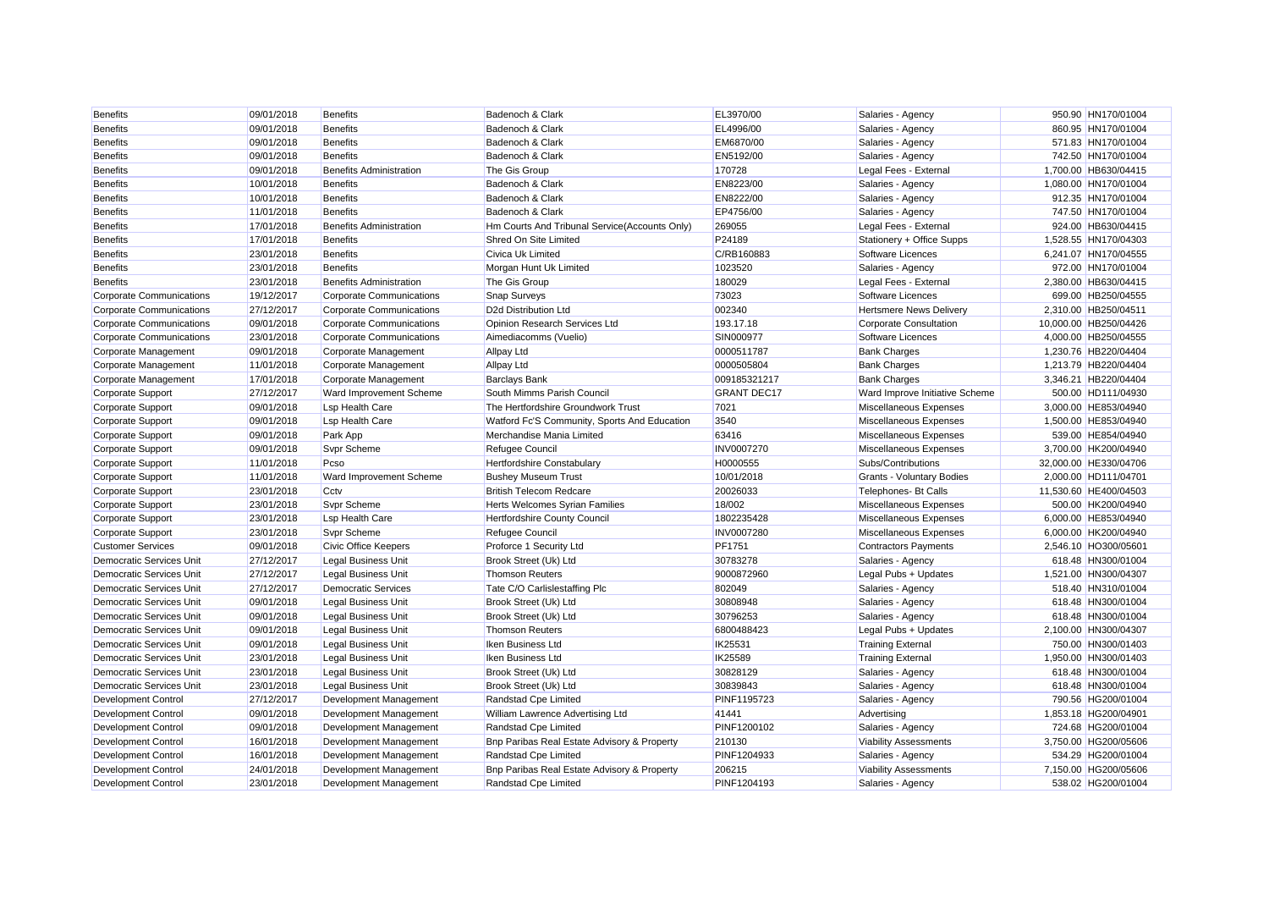| <b>Benefits</b>                 | 09/01/2018 | Benefits                        | Badenoch & Clark                               | EL3970/00          | Salaries - Agency                | 950.90 HN170/01004    |
|---------------------------------|------------|---------------------------------|------------------------------------------------|--------------------|----------------------------------|-----------------------|
| <b>Benefits</b>                 | 09/01/2018 | <b>Benefits</b>                 | Badenoch & Clark                               | EL4996/00          | Salaries - Agency                | 860.95 HN170/01004    |
| <b>Benefits</b>                 | 09/01/2018 | <b>Benefits</b>                 | Badenoch & Clark                               | EM6870/00          | Salaries - Agency                | 571.83 HN170/01004    |
| <b>Benefits</b>                 | 09/01/2018 | <b>Benefits</b>                 | Badenoch & Clark                               | EN5192/00          | Salaries - Agency                | 742.50 HN170/01004    |
| <b>Benefits</b>                 | 09/01/2018 | <b>Benefits Administration</b>  | The Gis Group                                  | 170728             | Legal Fees - External            | 1,700.00 HB630/04415  |
| <b>Benefits</b>                 | 10/01/2018 | <b>Benefits</b>                 | Badenoch & Clark                               | EN8223/00          | Salaries - Agency                | 1,080.00 HN170/01004  |
| <b>Benefits</b>                 | 10/01/2018 | <b>Benefits</b>                 | Badenoch & Clark                               | EN8222/00          | Salaries - Agency                | 912.35 HN170/01004    |
| <b>Benefits</b>                 | 11/01/2018 | <b>Benefits</b>                 | Badenoch & Clark                               | EP4756/00          | Salaries - Agency                | 747.50 HN170/01004    |
| <b>Benefits</b>                 | 17/01/2018 | <b>Benefits Administration</b>  | Hm Courts And Tribunal Service (Accounts Only) | 269055             | Legal Fees - External            | 924.00 HB630/04415    |
| <b>Benefits</b>                 | 17/01/2018 | <b>Benefits</b>                 | Shred On Site Limited                          | P24189             | Stationery + Office Supps        | 1,528.55 HN170/04303  |
| <b>Benefits</b>                 | 23/01/2018 | <b>Benefits</b>                 | <b>Civica Uk Limited</b>                       | C/RB160883         | Software Licences                | 6,241.07 HN170/04555  |
| <b>Benefits</b>                 | 23/01/2018 | <b>Benefits</b>                 | Morgan Hunt Uk Limited                         | 1023520            | Salaries - Agency                | 972.00 HN170/01004    |
| <b>Benefits</b>                 | 23/01/2018 | <b>Benefits Administration</b>  | The Gis Group                                  | 180029             | Legal Fees - External            | 2,380.00 HB630/04415  |
| <b>Corporate Communications</b> | 19/12/2017 | <b>Corporate Communications</b> | <b>Snap Surveys</b>                            | 73023              | Software Licences                | 699.00 HB250/04555    |
| <b>Corporate Communications</b> | 27/12/2017 | <b>Corporate Communications</b> | D <sub>2d</sub> Distribution Ltd               | 002340             | <b>Hertsmere News Delivery</b>   | 2,310.00 HB250/04511  |
| Corporate Communications        | 09/01/2018 | <b>Corporate Communications</b> | Opinion Research Services Ltd                  | 193.17.18          | Corporate Consultation           | 10,000.00 HB250/04426 |
| Corporate Communications        | 23/01/2018 | <b>Corporate Communications</b> | Aimediacomms (Vuelio)                          | SIN000977          | Software Licences                | 4,000.00 HB250/04555  |
| Corporate Management            | 09/01/2018 | Corporate Management            | <b>Allpay Ltd</b>                              | 0000511787         | <b>Bank Charges</b>              | 1,230.76 HB220/04404  |
| Corporate Management            | 11/01/2018 | Corporate Management            | <b>Allpay Ltd</b>                              | 0000505804         | <b>Bank Charges</b>              | 1,213.79 HB220/04404  |
| Corporate Management            | 17/01/2018 | Corporate Management            | <b>Barclays Bank</b>                           | 009185321217       | <b>Bank Charges</b>              | 3,346.21 HB220/04404  |
| Corporate Support               | 27/12/2017 | Ward Improvement Scheme         | South Mimms Parish Council                     | <b>GRANT DEC17</b> | Ward Improve Initiative Scheme   | 500.00 HD111/04930    |
| Corporate Support               | 09/01/2018 | <b>Lsp Health Care</b>          | The Hertfordshire Groundwork Trust             | 7021               | Miscellaneous Expenses           | 3.000.00 HE853/04940  |
| Corporate Support               | 09/01/2018 | <b>Lsp Health Care</b>          | Watford Fc'S Community, Sports And Education   | 3540               | Miscellaneous Expenses           | 1,500.00 HE853/04940  |
| <b>Corporate Support</b>        | 09/01/2018 | Park App                        | Merchandise Mania Limited                      | 63416              | Miscellaneous Expenses           | 539.00 HE854/04940    |
| <b>Corporate Support</b>        | 09/01/2018 | <b>Svpr Scheme</b>              | Refugee Council                                | <b>INV0007270</b>  | Miscellaneous Expenses           | 3,700.00 HK200/04940  |
| <b>Corporate Support</b>        | 11/01/2018 | Pcso                            | <b>Hertfordshire Constabulary</b>              | H0000555           | Subs/Contributions               | 32,000.00 HE330/04706 |
| Corporate Support               | 11/01/2018 | Ward Improvement Scheme         | <b>Bushey Museum Trust</b>                     | 10/01/2018         | <b>Grants - Voluntary Bodies</b> | 2,000.00 HD111/04701  |
| <b>Corporate Support</b>        | 23/01/2018 | Cctv                            | <b>British Telecom Redcare</b>                 | 20026033           | Telephones- Bt Calls             | 11,530.60 HE400/04503 |
| Corporate Support               | 23/01/2018 | Svpr Scheme                     | Herts Welcomes Syrian Families                 | 18/002             | Miscellaneous Expenses           | 500.00 HK200/04940    |
| <b>Corporate Support</b>        | 23/01/2018 | <b>Lsp Health Care</b>          | <b>Hertfordshire County Council</b>            | 1802235428         | Miscellaneous Expenses           | 6,000.00 HE853/04940  |
| Corporate Support               | 23/01/2018 | <b>Svpr Scheme</b>              | Refugee Council                                | <b>INV0007280</b>  | Miscellaneous Expenses           | 6,000.00 HK200/04940  |
| <b>Customer Services</b>        | 09/01/2018 | <b>Civic Office Keepers</b>     | Proforce 1 Security Ltd                        | <b>PF1751</b>      | <b>Contractors Payments</b>      | 2,546.10 HO300/05601  |
| Democratic Services Unit        | 27/12/2017 | <b>Legal Business Unit</b>      | Brook Street (Uk) Ltd                          | 30783278           | Salaries - Agency                | 618.48 HN300/01004    |
| <b>Democratic Services Unit</b> | 27/12/2017 | <b>Legal Business Unit</b>      | <b>Thomson Reuters</b>                         | 9000872960         | Legal Pubs + Updates             | 1,521.00 HN300/04307  |
| Democratic Services Unit        | 27/12/2017 | <b>Democratic Services</b>      | Tate C/O Carlislestaffing Plc                  | 802049             | Salaries - Agency                | 518.40 HN310/01004    |
| <b>Democratic Services Unit</b> | 09/01/2018 | <b>Legal Business Unit</b>      | Brook Street (Uk) Ltd                          | 30808948           | Salaries - Agency                | 618.48 HN300/01004    |
| Democratic Services Unit        | 09/01/2018 | <b>Legal Business Unit</b>      | Brook Street (Uk) Ltd                          | 30796253           | Salaries - Agency                | 618.48 HN300/01004    |
| <b>Democratic Services Unit</b> | 09/01/2018 | <b>Legal Business Unit</b>      | <b>Thomson Reuters</b>                         | 6800488423         | Legal Pubs + Updates             | 2,100.00 HN300/04307  |
| Democratic Services Unit        | 09/01/2018 | <b>Legal Business Unit</b>      | Iken Business Ltd                              | IK25531            | <b>Training External</b>         | 750.00 HN300/01403    |
| <b>Democratic Services Unit</b> | 23/01/2018 | <b>Legal Business Unit</b>      | Iken Business Ltd                              | IK25589            | <b>Training External</b>         | 1,950.00 HN300/01403  |
| <b>Democratic Services Unit</b> | 23/01/2018 | <b>Legal Business Unit</b>      | Brook Street (Uk) Ltd                          | 30828129           | Salaries - Agency                | 618.48 HN300/01004    |
| Democratic Services Unit        | 23/01/2018 | <b>Legal Business Unit</b>      | Brook Street (Uk) Ltd                          | 30839843           | Salaries - Agency                | 618.48 HN300/01004    |
| <b>Development Control</b>      | 27/12/2017 | Development Management          | Randstad Cpe Limited                           | PINF1195723        | Salaries - Agency                | 790.56 HG200/01004    |
| Development Control             | 09/01/2018 | Development Management          | William Lawrence Advertising Ltd               | 41441              | Advertising                      | 1,853.18 HG200/04901  |
| Development Control             | 09/01/2018 | Development Management          | Randstad Cpe Limited                           | PINF1200102        | Salaries - Agency                | 724.68 HG200/01004    |
| Development Control             | 16/01/2018 | Development Management          | Bnp Paribas Real Estate Advisory & Property    | 210130             | <b>Viability Assessments</b>     | 3,750.00 HG200/05606  |
| <b>Development Control</b>      | 16/01/2018 | Development Management          | Randstad Cpe Limited                           | PINF1204933        | Salaries - Agency                | 534.29 HG200/01004    |
| <b>Development Control</b>      | 24/01/2018 | Development Management          | Bnp Paribas Real Estate Advisory & Property    | 206215             | <b>Viability Assessments</b>     | 7,150.00 HG200/05606  |
| <b>Development Control</b>      | 23/01/2018 | Development Management          | Randstad Cpe Limited                           | PINF1204193        | Salaries - Agency                | 538.02 HG200/01004    |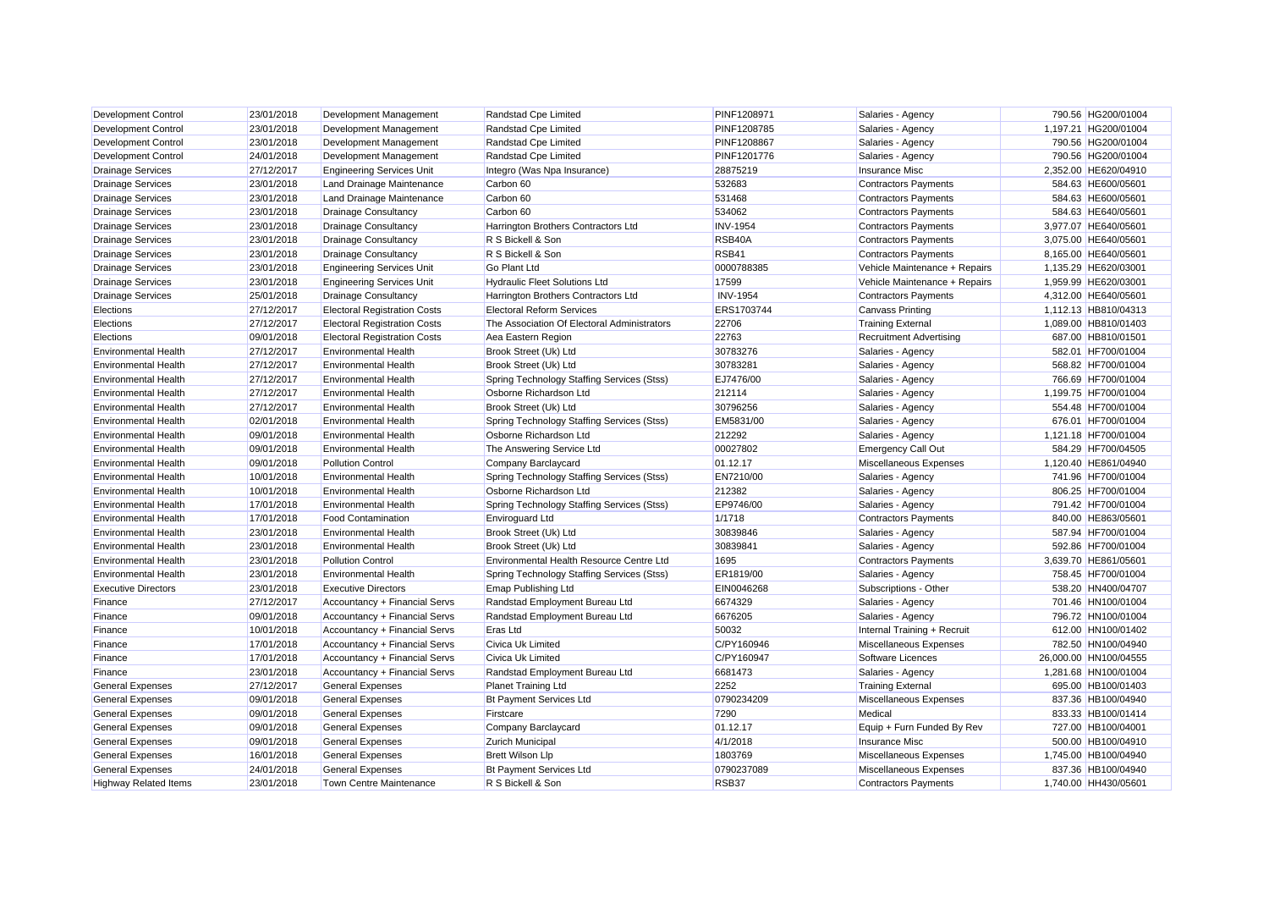| <b>Development Control</b>   | 23/01/2018 | Development Management              | Randstad Cpe Limited                        | PINF1208971     | Salaries - Agency              | 790.56 HG200/01004    |
|------------------------------|------------|-------------------------------------|---------------------------------------------|-----------------|--------------------------------|-----------------------|
| <b>Development Control</b>   | 23/01/2018 | Development Management              | Randstad Cpe Limited                        | PINF1208785     | Salaries - Agency              | 1,197.21 HG200/01004  |
| <b>Development Control</b>   | 23/01/2018 | <b>Development Management</b>       | Randstad Cpe Limited                        | PINF1208867     | Salaries - Agency              | 790.56 HG200/01004    |
| <b>Development Control</b>   | 24/01/2018 | Development Management              | Randstad Cpe Limited                        | PINF1201776     | Salaries - Agency              | 790.56 HG200/01004    |
| <b>Drainage Services</b>     | 27/12/2017 | <b>Engineering Services Unit</b>    | Integro (Was Npa Insurance)                 | 28875219        | <b>Insurance Misc</b>          | 2,352.00 HE620/04910  |
| <b>Drainage Services</b>     | 23/01/2018 | Land Drainage Maintenance           | Carbon 60                                   | 532683          | <b>Contractors Payments</b>    | 584.63 HE600/05601    |
| <b>Drainage Services</b>     | 23/01/2018 | Land Drainage Maintenance           | Carbon 60                                   | 531468          | <b>Contractors Payments</b>    | 584.63 HE600/05601    |
| <b>Drainage Services</b>     | 23/01/2018 | <b>Drainage Consultancy</b>         | Carbon 60                                   | 534062          | Contractors Payments           | 584.63 HE640/05601    |
| <b>Drainage Services</b>     | 23/01/2018 | <b>Drainage Consultancy</b>         | Harrington Brothers Contractors Ltd         | <b>INV-1954</b> | <b>Contractors Payments</b>    | 3,977.07 HE640/05601  |
| <b>Drainage Services</b>     | 23/01/2018 | <b>Drainage Consultancy</b>         | R S Bickell & Son                           | RSB40A          | <b>Contractors Payments</b>    | 3,075.00 HE640/05601  |
| <b>Drainage Services</b>     | 23/01/2018 | <b>Drainage Consultancy</b>         | R S Bickell & Son                           | RSB41           | <b>Contractors Payments</b>    | 8.165.00 HE640/05601  |
| <b>Drainage Services</b>     | 23/01/2018 | <b>Engineering Services Unit</b>    | <b>Go Plant Ltd</b>                         | 0000788385      | Vehicle Maintenance + Repairs  | 1,135.29 HE620/03001  |
| <b>Drainage Services</b>     | 23/01/2018 | <b>Engineering Services Unit</b>    | <b>Hydraulic Fleet Solutions Ltd</b>        | 17599           | Vehicle Maintenance + Repairs  | 1,959.99 HE620/03001  |
| <b>Drainage Services</b>     | 25/01/2018 | <b>Drainage Consultancy</b>         | Harrington Brothers Contractors Ltd         | <b>INV-1954</b> | <b>Contractors Payments</b>    | 4,312.00 HE640/05601  |
| Elections                    | 27/12/2017 | <b>Electoral Registration Costs</b> | <b>Electoral Reform Services</b>            | ERS1703744      | <b>Canvass Printing</b>        | 1,112.13 HB810/04313  |
| Elections                    | 27/12/2017 | <b>Electoral Registration Costs</b> | The Association Of Electoral Administrators | 22706           | <b>Training External</b>       | 1,089.00 HB810/01403  |
| Elections                    | 09/01/2018 | <b>Electoral Registration Costs</b> | Aea Eastern Region                          | 22763           | <b>Recruitment Advertising</b> | 687.00 HB810/01501    |
| <b>Environmental Health</b>  | 27/12/2017 | <b>Environmental Health</b>         | Brook Street (Uk) Ltd                       | 30783276        | Salaries - Agency              | 582.01 HF700/01004    |
| <b>Environmental Health</b>  | 27/12/2017 | <b>Environmental Health</b>         | Brook Street (Uk) Ltd                       | 30783281        | Salaries - Agency              | 568.82 HF700/01004    |
| <b>Environmental Health</b>  | 27/12/2017 | <b>Environmental Health</b>         | Spring Technology Staffing Services (Stss)  | EJ7476/00       | Salaries - Agency              | 766.69 HF700/01004    |
| <b>Environmental Health</b>  | 27/12/2017 | <b>Environmental Health</b>         | Osborne Richardson Ltd                      | 212114          | Salaries - Agency              | 1,199.75 HF700/01004  |
| <b>Environmental Health</b>  | 27/12/2017 | <b>Environmental Health</b>         | Brook Street (Uk) Ltd                       | 30796256        | Salaries - Agency              | 554.48 HF700/01004    |
| <b>Environmental Health</b>  | 02/01/2018 | <b>Environmental Health</b>         | Spring Technology Staffing Services (Stss)  | EM5831/00       | Salaries - Agency              | 676.01 HF700/01004    |
| <b>Environmental Health</b>  | 09/01/2018 | <b>Environmental Health</b>         | Osborne Richardson Ltd                      | 212292          | Salaries - Agency              | 1,121.18 HF700/01004  |
| <b>Environmental Health</b>  | 09/01/2018 | <b>Environmental Health</b>         | The Answering Service Ltd                   | 00027802        | <b>Emergency Call Out</b>      | 584.29 HF700/04505    |
| <b>Environmental Health</b>  | 09/01/2018 | <b>Pollution Control</b>            | Company Barclaycard                         | 01.12.17        | Miscellaneous Expenses         | 1,120.40 HE861/04940  |
| <b>Environmental Health</b>  | 10/01/2018 | <b>Environmental Health</b>         | Spring Technology Staffing Services (Stss)  | EN7210/00       | Salaries - Agency              | 741.96 HF700/01004    |
| <b>Environmental Health</b>  | 10/01/2018 | <b>Environmental Health</b>         | Osborne Richardson Ltd                      | 212382          | Salaries - Agency              | 806.25 HF700/01004    |
| <b>Environmental Health</b>  | 17/01/2018 | <b>Environmental Health</b>         | Spring Technology Staffing Services (Stss)  | EP9746/00       | Salaries - Agency              | 791.42 HF700/01004    |
| <b>Environmental Health</b>  | 17/01/2018 | <b>Food Contamination</b>           | <b>Enviroquard Ltd</b>                      | 1/1718          | <b>Contractors Payments</b>    | 840.00 HE863/05601    |
| <b>Environmental Health</b>  | 23/01/2018 | <b>Environmental Health</b>         | Brook Street (Uk) Ltd                       | 30839846        | Salaries - Agency              | 587.94 HF700/01004    |
| <b>Environmental Health</b>  | 23/01/2018 | <b>Environmental Health</b>         | Brook Street (Uk) Ltd                       | 30839841        | Salaries - Agency              | 592.86 HF700/01004    |
| <b>Environmental Health</b>  | 23/01/2018 | <b>Pollution Control</b>            | Environmental Health Resource Centre Ltd    | 1695            | <b>Contractors Payments</b>    | 3,639.70 HE861/05601  |
| <b>Environmental Health</b>  | 23/01/2018 | <b>Environmental Health</b>         | Spring Technology Staffing Services (Stss)  | ER1819/00       | Salaries - Agency              | 758.45 HF700/01004    |
| <b>Executive Directors</b>   | 23/01/2018 | <b>Executive Directors</b>          | <b>Emap Publishing Ltd</b>                  | EIN0046268      | Subscriptions - Other          | 538.20 HN400/04707    |
| Finance                      | 27/12/2017 | Accountancy + Financial Servs       | Randstad Employment Bureau Ltd              | 6674329         | Salaries - Agency              | 701.46 HN100/01004    |
| Finance                      | 09/01/2018 | Accountancy + Financial Servs       | Randstad Employment Bureau Ltd              | 6676205         | Salaries - Agency              | 796.72 HN100/01004    |
| Finance                      | 10/01/2018 | Accountancy + Financial Servs       | <b>Eras Ltd</b>                             | 50032           | Internal Training + Recruit    | 612.00 HN100/01402    |
| Finance                      | 17/01/2018 | Accountancy + Financial Servs       | Civica Uk Limited                           | C/PY160946      | Miscellaneous Expenses         | 782.50 HN100/04940    |
| Finance                      | 17/01/2018 | Accountancy + Financial Servs       | Civica Uk Limited                           | C/PY160947      | Software Licences              | 26,000.00 HN100/04555 |
| Finance                      | 23/01/2018 | Accountancy + Financial Servs       | Randstad Employment Bureau Ltd              | 6681473         | Salaries - Agency              | 1,281.68 HN100/01004  |
| <b>General Expenses</b>      | 27/12/2017 | <b>General Expenses</b>             | <b>Planet Training Ltd</b>                  | 2252            | <b>Training External</b>       | 695.00 HB100/01403    |
| <b>General Expenses</b>      | 09/01/2018 | <b>General Expenses</b>             | Bt Payment Services Ltd                     | 0790234209      | Miscellaneous Expenses         | 837.36 HB100/04940    |
| <b>General Expenses</b>      | 09/01/2018 | <b>General Expenses</b>             | Firstcare                                   | 7290            | Medical                        | 833.33 HB100/01414    |
| <b>General Expenses</b>      | 09/01/2018 | <b>General Expenses</b>             | Company Barclaycard                         | 01.12.17        | Equip + Furn Funded By Rev     | 727.00 HB100/04001    |
| <b>General Expenses</b>      | 09/01/2018 | <b>General Expenses</b>             | <b>Zurich Municipal</b>                     | 4/1/2018        | <b>Insurance Misc</b>          | 500.00 HB100/04910    |
| <b>General Expenses</b>      | 16/01/2018 | <b>General Expenses</b>             | <b>Brett Wilson Llp</b>                     | 1803769         | Miscellaneous Expenses         | 1,745.00 HB100/04940  |
| <b>General Expenses</b>      | 24/01/2018 | <b>General Expenses</b>             | <b>Bt Payment Services Ltd</b>              | 0790237089      | Miscellaneous Expenses         | 837.36 HB100/04940    |
| <b>Highway Related Items</b> | 23/01/2018 | Town Centre Maintenance             | R S Bickell & Son                           | RSB37           | <b>Contractors Payments</b>    | 1.740.00 HH430/05601  |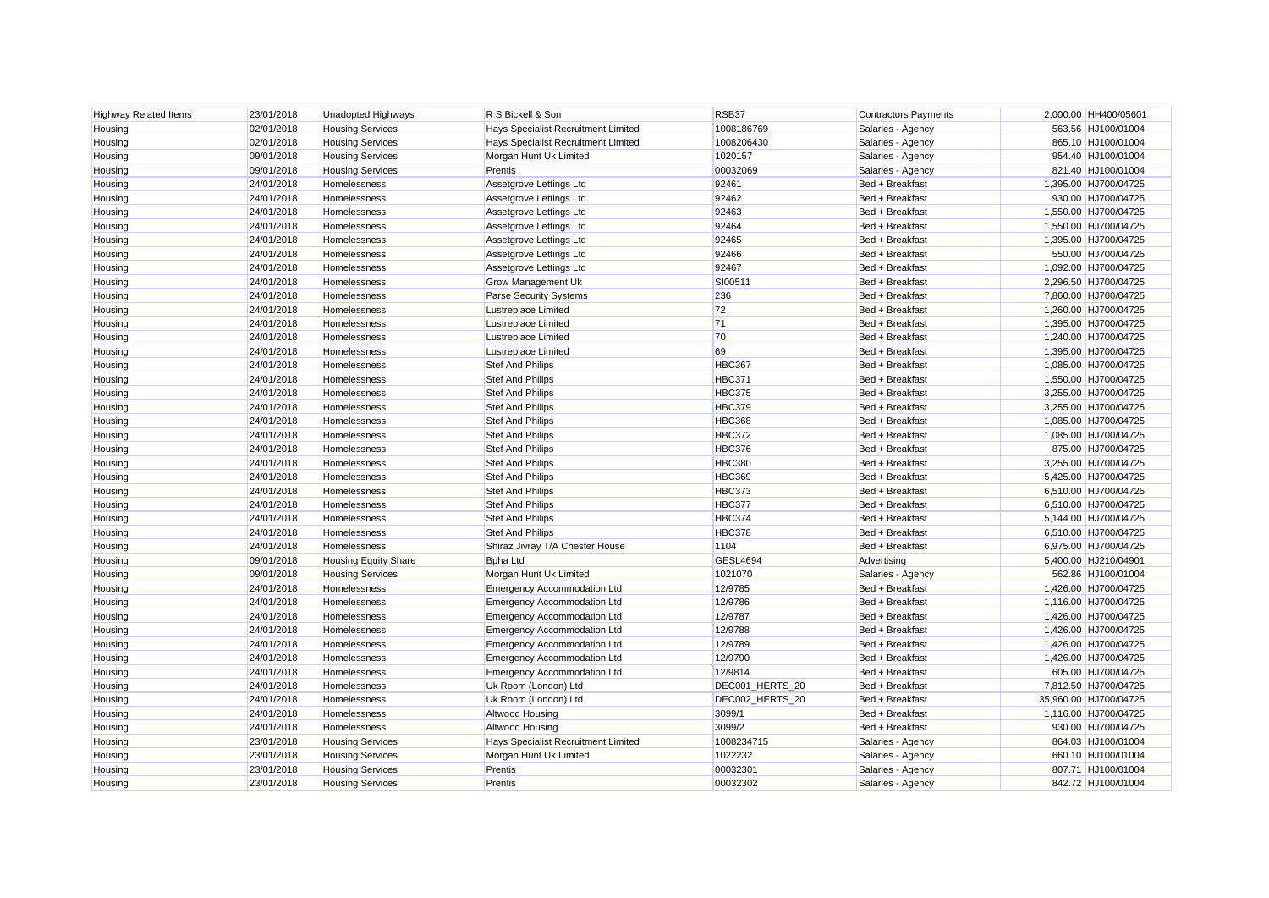| <b>Highway Related Items</b> | 23/01/2018 | <b>Unadopted Highways</b>   | R S Bickell & Son                   | RSB37           | <b>Contractors Payments</b> | 2,000.00 HH400/05601  |
|------------------------------|------------|-----------------------------|-------------------------------------|-----------------|-----------------------------|-----------------------|
| Housing                      | 02/01/2018 | <b>Housing Services</b>     | Hays Specialist Recruitment Limited | 1008186769      | Salaries - Agency           | 563.56 HJ100/01004    |
| Housing                      | 02/01/2018 | <b>Housing Services</b>     | Hays Specialist Recruitment Limited | 1008206430      | Salaries - Agency           | 865.10 HJ100/01004    |
| Housing                      | 09/01/2018 | <b>Housing Services</b>     | Morgan Hunt Uk Limited              | 1020157         | Salaries - Agency           | 954.40 HJ100/01004    |
| Housing                      | 09/01/2018 | <b>Housing Services</b>     | Prentis                             | 00032069        | Salaries - Agency           | 821.40 HJ100/01004    |
| Housing                      | 24/01/2018 | Homelessness                | Assetgrove Lettings Ltd             | 92461           | Bed + Breakfast             | 1,395.00 HJ700/04725  |
| Housing                      | 24/01/2018 | Homelessness                | Assetgrove Lettings Ltd             | 92462           | Bed + Breakfast             | 930.00 HJ700/04725    |
| Housing                      | 24/01/2018 | Homelessness                | Assetgrove Lettings Ltd             | 92463           | Bed + Breakfast             | 1,550.00 HJ700/04725  |
| Housing                      | 24/01/2018 | Homelessness                | Assetgrove Lettings Ltd             | 92464           | Bed + Breakfast             | 1,550.00 HJ700/04725  |
| Housing                      | 24/01/2018 | Homelessness                | Assetgrove Lettings Ltd             | 92465           | Bed + Breakfast             | 1,395.00 HJ700/04725  |
| Housing                      | 24/01/2018 | Homelessness                | Assetgrove Lettings Ltd             | 92466           | Bed + Breakfast             | 550.00 HJ700/04725    |
| Housing                      | 24/01/2018 | Homelessness                | Assetgrove Lettings Ltd             | 92467           | Bed + Breakfast             | 1,092.00 HJ700/04725  |
| Housing                      | 24/01/2018 | Homelessness                | Grow Management Uk                  | SI00511         | Bed + Breakfast             | 2,296.50 HJ700/04725  |
| Housing                      | 24/01/2018 | Homelessness                | Parse Security Systems              | 236             | Bed + Breakfast             | 7,860.00 HJ700/04725  |
| Housing                      | 24/01/2018 | Homelessness                | <b>Lustreplace Limited</b>          | 72              | Bed + Breakfast             | 1,260.00 HJ700/04725  |
| Housing                      | 24/01/2018 | Homelessness                | <b>Lustreplace Limited</b>          | 71              | Bed + Breakfast             | 1,395.00 HJ700/04725  |
| Housing                      | 24/01/2018 | Homelessness                | <b>Lustreplace Limited</b>          | 70              | Bed + Breakfast             | 1,240.00 HJ700/04725  |
| Housing                      | 24/01/2018 | Homelessness                | <b>Lustreplace Limited</b>          | 69              | Bed + Breakfast             | 1,395.00 HJ700/04725  |
| Housing                      | 24/01/2018 | Homelessness                | <b>Stef And Philips</b>             | <b>HBC367</b>   | Bed + Breakfast             | 1,085.00 HJ700/04725  |
| Housing                      | 24/01/2018 | Homelessness                | <b>Stef And Philips</b>             | <b>HBC371</b>   | Bed + Breakfast             | 1,550.00 HJ700/04725  |
| Housing                      | 24/01/2018 | Homelessness                | <b>Stef And Philips</b>             | <b>HBC375</b>   | Bed + Breakfast             | 3,255.00 HJ700/04725  |
| Housing                      | 24/01/2018 | Homelessness                | <b>Stef And Philips</b>             | <b>HBC379</b>   | Bed + Breakfast             | 3,255.00 HJ700/04725  |
| Housing                      | 24/01/2018 | Homelessness                | <b>Stef And Philips</b>             | <b>HBC368</b>   | Bed + Breakfast             | 1,085.00 HJ700/04725  |
| Housing                      | 24/01/2018 | Homelessness                | <b>Stef And Philips</b>             | <b>HBC372</b>   | Bed + Breakfast             | 1,085.00 HJ700/04725  |
| Housing                      | 24/01/2018 | Homelessness                | <b>Stef And Philips</b>             | <b>HBC376</b>   | Bed + Breakfast             | 875.00 HJ700/04725    |
| Housing                      | 24/01/2018 | Homelessness                | <b>Stef And Philips</b>             | <b>HBC380</b>   | Bed + Breakfast             | 3,255.00 HJ700/04725  |
| Housing                      | 24/01/2018 | Homelessness                | <b>Stef And Philips</b>             | <b>HBC369</b>   | Bed + Breakfast             | 5,425.00 HJ700/04725  |
| Housing                      | 24/01/2018 | Homelessness                | <b>Stef And Philips</b>             | <b>HBC373</b>   | Bed + Breakfast             | 6,510.00 HJ700/04725  |
| Housing                      | 24/01/2018 | Homelessness                | <b>Stef And Philips</b>             | HBC377          | Bed + Breakfast             | 6,510.00 HJ700/04725  |
| Housing                      | 24/01/2018 | Homelessness                | <b>Stef And Philips</b>             | <b>HBC374</b>   | Bed + Breakfast             | 5,144.00 HJ700/04725  |
| Housing                      | 24/01/2018 | Homelessness                | <b>Stef And Philips</b>             | <b>HBC378</b>   | Bed + Breakfast             | 6,510.00 HJ700/04725  |
| Housing                      | 24/01/2018 | Homelessness                | Shiraz Jivray T/A Chester House     | 1104            | Bed + Breakfast             | 6,975.00 HJ700/04725  |
| Housing                      | 09/01/2018 | <b>Housing Equity Share</b> | <b>Bpha Ltd</b>                     | <b>GESL4694</b> | Advertising                 | 5,400.00 HJ210/04901  |
| Housing                      | 09/01/2018 | <b>Housing Services</b>     | Morgan Hunt Uk Limited              | 1021070         | Salaries - Agency           | 562.86 HJ100/01004    |
| Housing                      | 24/01/2018 | Homelessness                | <b>Emergency Accommodation Ltd</b>  | 12/9785         | Bed + Breakfast             | 1,426.00 HJ700/04725  |
| Housing                      | 24/01/2018 | Homelessness                | <b>Emergency Accommodation Ltd</b>  | 12/9786         | Bed + Breakfast             | 1,116.00 HJ700/04725  |
| Housing                      | 24/01/2018 | Homelessness                | <b>Emergency Accommodation Ltd</b>  | 12/9787         | Bed + Breakfast             | 1,426.00 HJ700/04725  |
| Housing                      | 24/01/2018 | Homelessness                | <b>Emergency Accommodation Ltd</b>  | 12/9788         | Bed + Breakfast             | 1,426.00 HJ700/04725  |
| Housing                      | 24/01/2018 | Homelessness                | <b>Emergency Accommodation Ltd</b>  | 12/9789         | Bed + Breakfast             | 1,426.00 HJ700/04725  |
| Housing                      | 24/01/2018 | Homelessness                | <b>Emergency Accommodation Ltd</b>  | 12/9790         | Bed + Breakfast             | 1,426.00 HJ700/04725  |
| Housing                      | 24/01/2018 | Homelessness                | <b>Emergency Accommodation Ltd</b>  | 12/9814         | Bed + Breakfast             | 605.00 HJ700/04725    |
| Housing                      | 24/01/2018 | Homelessness                | Uk Room (London) Ltd                | DEC001_HERTS_20 | Bed + Breakfast             | 7,812.50 HJ700/04725  |
| Housing                      | 24/01/2018 | Homelessness                | Uk Room (London) Ltd                | DEC002_HERTS_20 | Bed + Breakfast             | 35,960.00 HJ700/04725 |
| Housing                      | 24/01/2018 | Homelessness                | Altwood Housing                     | 3099/1          | Bed + Breakfast             | 1,116.00 HJ700/04725  |
| Housing                      | 24/01/2018 | Homelessness                | Altwood Housing                     | 3099/2          | Bed + Breakfast             | 930.00 HJ700/04725    |
| Housing                      | 23/01/2018 | <b>Housing Services</b>     | Hays Specialist Recruitment Limited | 1008234715      | Salaries - Agency           | 864.03 HJ100/01004    |
| Housing                      | 23/01/2018 | <b>Housing Services</b>     | Morgan Hunt Uk Limited              | 1022232         | Salaries - Agency           | 660.10 HJ100/01004    |
| Housing                      | 23/01/2018 | <b>Housing Services</b>     | Prentis                             | 00032301        | Salaries - Agency           | 807.71 HJ100/01004    |
| Housing                      | 23/01/2018 | <b>Housing Services</b>     | Prentis                             | 00032302        | Salaries - Agency           | 842.72 HJ100/01004    |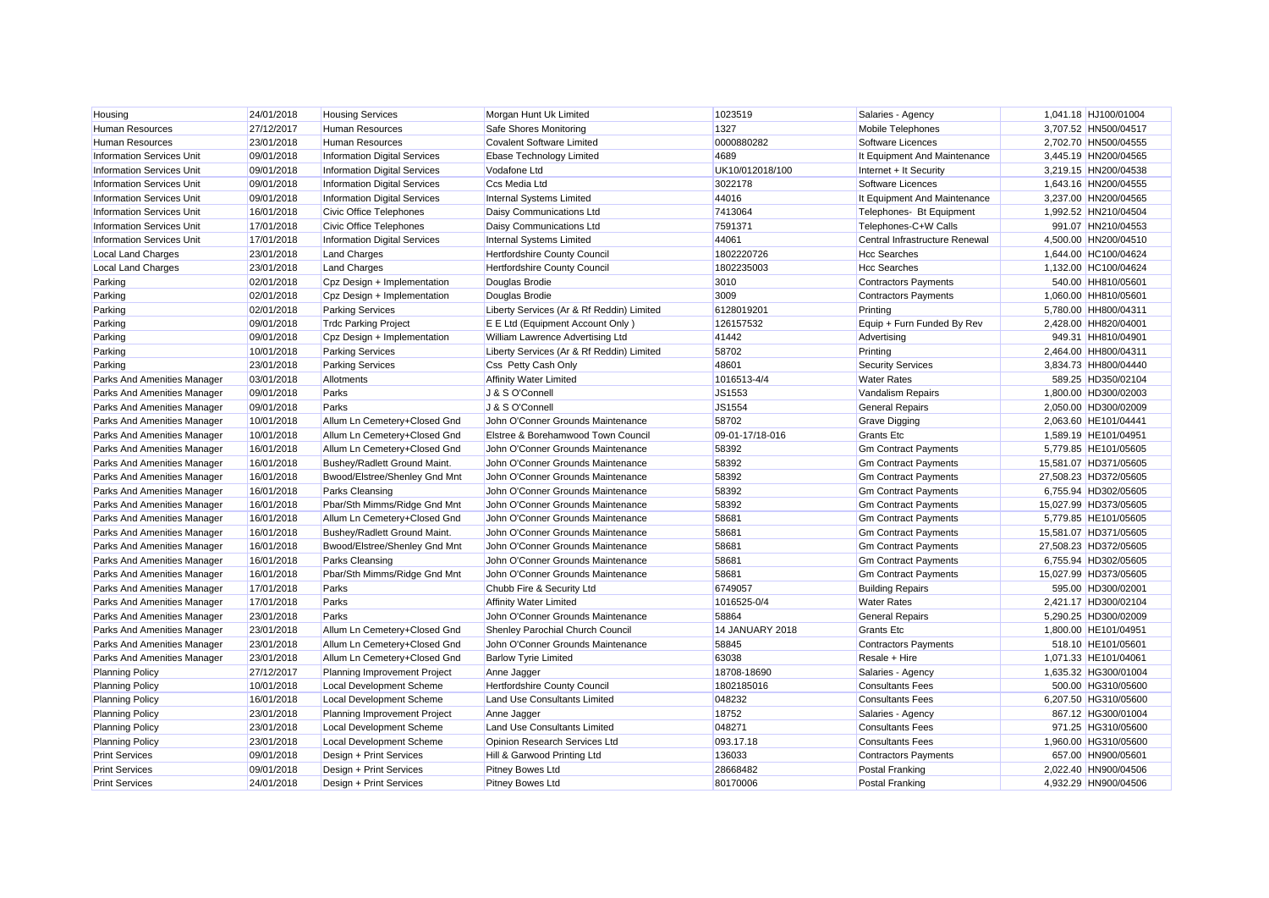| Housing                          | 24/01/2018 | <b>Housing Services</b>             | Morgan Hunt Uk Limited                    | 1023519                | Salaries - Agency              | 1,041.18 HJ100/01004  |
|----------------------------------|------------|-------------------------------------|-------------------------------------------|------------------------|--------------------------------|-----------------------|
| <b>Human Resources</b>           | 27/12/2017 | <b>Human Resources</b>              | Safe Shores Monitoring                    | 1327                   | Mobile Telephones              | 3,707.52 HN500/04517  |
| <b>Human Resources</b>           | 23/01/2018 | <b>Human Resources</b>              | <b>Covalent Software Limited</b>          | 0000880282             | Software Licences              | 2,702.70 HN500/04555  |
| <b>Information Services Unit</b> | 09/01/2018 | <b>Information Digital Services</b> | <b>Ebase Technology Limited</b>           | 4689                   | It Equipment And Maintenance   | 3,445.19 HN200/04565  |
| <b>Information Services Unit</b> | 09/01/2018 | <b>Information Digital Services</b> | Vodafone Ltd                              | UK10/012018/100        | Internet + It Security         | 3,219.15 HN200/04538  |
| <b>Information Services Unit</b> | 09/01/2018 | <b>Information Digital Services</b> | Ccs Media Ltd                             | 3022178                | Software Licences              | 1,643.16 HN200/04555  |
| <b>Information Services Unit</b> | 09/01/2018 | <b>Information Digital Services</b> | Internal Systems Limited                  | 44016                  | It Equipment And Maintenance   | 3,237.00 HN200/04565  |
| <b>Information Services Unit</b> | 16/01/2018 | Civic Office Telephones             | Daisy Communications Ltd                  | 7413064                | Telephones- Bt Equipment       | 1,992.52 HN210/04504  |
| <b>Information Services Unit</b> | 17/01/2018 | Civic Office Telephones             | Daisy Communications Ltd                  | 7591371                | Telephones-C+W Calls           | 991.07 HN210/04553    |
| <b>Information Services Unit</b> | 17/01/2018 | <b>Information Digital Services</b> | Internal Systems Limited                  | 44061                  | Central Infrastructure Renewal | 4,500.00 HN200/04510  |
| <b>Local Land Charges</b>        | 23/01/2018 | <b>Land Charges</b>                 | Hertfordshire County Council              | 1802220726             | <b>Hcc Searches</b>            | 1,644.00 HC100/04624  |
| <b>Local Land Charges</b>        | 23/01/2018 | <b>Land Charges</b>                 | Hertfordshire County Council              | 1802235003             | <b>Hcc Searches</b>            | 1,132.00 HC100/04624  |
| Parking                          | 02/01/2018 | Cpz Design + Implementation         | Douglas Brodie                            | 3010                   | <b>Contractors Payments</b>    | 540.00 HH810/05601    |
| Parking                          | 02/01/2018 | Cpz Design + Implementation         | Douglas Brodie                            | 3009                   | <b>Contractors Payments</b>    | 1,060.00 HH810/05601  |
| Parking                          | 02/01/2018 | <b>Parking Services</b>             | Liberty Services (Ar & Rf Reddin) Limited | 6128019201             | Printing                       | 5,780.00 HH800/04311  |
| Parking                          | 09/01/2018 | <b>Trdc Parking Project</b>         | E E Ltd (Equipment Account Only)          | 126157532              | Equip + Furn Funded By Rev     | 2.428.00 HH820/04001  |
| Parking                          | 09/01/2018 | Cpz Design + Implementation         | William Lawrence Advertising Ltd          | 41442                  | Advertising                    | 949.31 HH810/04901    |
| Parking                          | 10/01/2018 | <b>Parking Services</b>             | Liberty Services (Ar & Rf Reddin) Limited | 58702                  | Printing                       | 2,464.00 HH800/04311  |
| Parking                          | 23/01/2018 | <b>Parking Services</b>             | Css Petty Cash Only                       | 48601                  | <b>Security Services</b>       | 3,834.73 HH800/04440  |
| Parks And Amenities Manager      | 03/01/2018 | Allotments                          | <b>Affinity Water Limited</b>             | 1016513-4/4            | <b>Water Rates</b>             | 589.25 HD350/02104    |
| Parks And Amenities Manager      | 09/01/2018 | Parks                               | J & S O'Connell                           | JS1553                 | Vandalism Repairs              | 1,800.00 HD300/02003  |
| Parks And Amenities Manager      | 09/01/2018 | Parks                               | J & S O'Connell                           | JS1554                 | <b>General Repairs</b>         | 2,050.00 HD300/02009  |
| Parks And Amenities Manager      | 10/01/2018 | Allum Ln Cemetery+Closed Gnd        | John O'Conner Grounds Maintenance         | 58702                  | <b>Grave Digging</b>           | 2,063.60 HE101/04441  |
| Parks And Amenities Manager      | 10/01/2018 | Allum Ln Cemetery+Closed Gnd        | Elstree & Borehamwood Town Council        | 09-01-17/18-016        | <b>Grants Etc</b>              | 1,589.19 HE101/04951  |
| Parks And Amenities Manager      | 16/01/2018 | Allum Ln Cemetery+Closed Gnd        | John O'Conner Grounds Maintenance         | 58392                  | <b>Gm Contract Payments</b>    | 5,779.85 HE101/05605  |
| Parks And Amenities Manager      | 16/01/2018 | Bushey/Radlett Ground Maint.        | John O'Conner Grounds Maintenance         | 58392                  | <b>Gm Contract Payments</b>    | 15,581.07 HD371/05605 |
| Parks And Amenities Manager      | 16/01/2018 | Bwood/Elstree/Shenley Gnd Mnt       | John O'Conner Grounds Maintenance         | 58392                  | <b>Gm Contract Payments</b>    | 27,508.23 HD372/05605 |
| Parks And Amenities Manager      | 16/01/2018 | <b>Parks Cleansing</b>              | John O'Conner Grounds Maintenance         | 58392                  | <b>Gm Contract Payments</b>    | 6,755.94 HD302/05605  |
| Parks And Amenities Manager      | 16/01/2018 | Pbar/Sth Mimms/Ridge Gnd Mnt        | John O'Conner Grounds Maintenance         | 58392                  | <b>Gm Contract Payments</b>    | 15,027.99 HD373/05605 |
| Parks And Amenities Manager      | 16/01/2018 | Allum Ln Cemetery+Closed Gnd        | John O'Conner Grounds Maintenance         | 58681                  | <b>Gm Contract Payments</b>    | 5,779.85 HE101/05605  |
| Parks And Amenities Manager      | 16/01/2018 | Bushey/Radlett Ground Maint.        | John O'Conner Grounds Maintenance         | 58681                  | <b>Gm Contract Payments</b>    | 15,581.07 HD371/05605 |
| Parks And Amenities Manager      | 16/01/2018 | Bwood/Elstree/Shenley Gnd Mnt       | John O'Conner Grounds Maintenance         | 58681                  | <b>Gm Contract Payments</b>    | 27,508.23 HD372/05605 |
| Parks And Amenities Manager      | 16/01/2018 | <b>Parks Cleansing</b>              | John O'Conner Grounds Maintenance         | 58681                  | <b>Gm Contract Payments</b>    | 6,755.94 HD302/05605  |
| Parks And Amenities Manager      | 16/01/2018 | Pbar/Sth Mimms/Ridge Gnd Mnt        | John O'Conner Grounds Maintenance         | 58681                  | <b>Gm Contract Payments</b>    | 15,027.99 HD373/05605 |
| Parks And Amenities Manager      | 17/01/2018 | Parks                               | Chubb Fire & Security Ltd                 | 6749057                | <b>Building Repairs</b>        | 595.00 HD300/02001    |
| Parks And Amenities Manager      | 17/01/2018 | Parks                               | <b>Affinity Water Limited</b>             | 1016525-0/4            | <b>Water Rates</b>             | 2,421.17 HD300/02104  |
| Parks And Amenities Manager      | 23/01/2018 | Parks                               | John O'Conner Grounds Maintenance         | 58864                  | <b>General Repairs</b>         | 5,290.25 HD300/02009  |
| Parks And Amenities Manager      | 23/01/2018 | Allum Ln Cemetery+Closed Gnd        | Shenley Parochial Church Council          | <b>14 JANUARY 2018</b> | <b>Grants Etc</b>              | 1,800.00 HE101/04951  |
| Parks And Amenities Manager      | 23/01/2018 | Allum Ln Cemetery+Closed Gnd        | John O'Conner Grounds Maintenance         | 58845                  | <b>Contractors Payments</b>    | 518.10 HE101/05601    |
| Parks And Amenities Manager      | 23/01/2018 | Allum Ln Cemetery+Closed Gnd        | <b>Barlow Tyrie Limited</b>               | 63038                  | Resale + Hire                  | 1,071.33 HE101/04061  |
| <b>Planning Policy</b>           | 27/12/2017 | Planning Improvement Project        | Anne Jagger                               | 18708-18690            | Salaries - Agency              | 1,635.32 HG300/01004  |
| <b>Planning Policy</b>           | 10/01/2018 | Local Development Scheme            | Hertfordshire County Council              | 1802185016             | <b>Consultants Fees</b>        | 500.00 HG310/05600    |
| <b>Planning Policy</b>           | 16/01/2018 | Local Development Scheme            | Land Use Consultants Limited              | 048232                 | <b>Consultants Fees</b>        | 6,207.50 HG310/05600  |
| <b>Planning Policy</b>           | 23/01/2018 | Planning Improvement Project        | Anne Jagger                               | 18752                  | Salaries - Agency              | 867.12 HG300/01004    |
| <b>Planning Policy</b>           | 23/01/2018 | <b>Local Development Scheme</b>     | Land Use Consultants Limited              | 048271                 | <b>Consultants Fees</b>        | 971.25 HG310/05600    |
| <b>Planning Policy</b>           | 23/01/2018 | Local Development Scheme            | Opinion Research Services Ltd             | 093.17.18              | <b>Consultants Fees</b>        | 1,960.00 HG310/05600  |
| <b>Print Services</b>            | 09/01/2018 | Design + Print Services             | Hill & Garwood Printing Ltd               | 136033                 | <b>Contractors Payments</b>    | 657.00 HN900/05601    |
| <b>Print Services</b>            | 09/01/2018 | Design + Print Services             | <b>Pitney Bowes Ltd</b>                   | 28668482               | <b>Postal Franking</b>         | 2,022.40 HN900/04506  |
| <b>Print Services</b>            | 24/01/2018 | Design + Print Services             | Pitney Bowes Ltd                          | 80170006               | Postal Franking                | 4.932.29 HN900/04506  |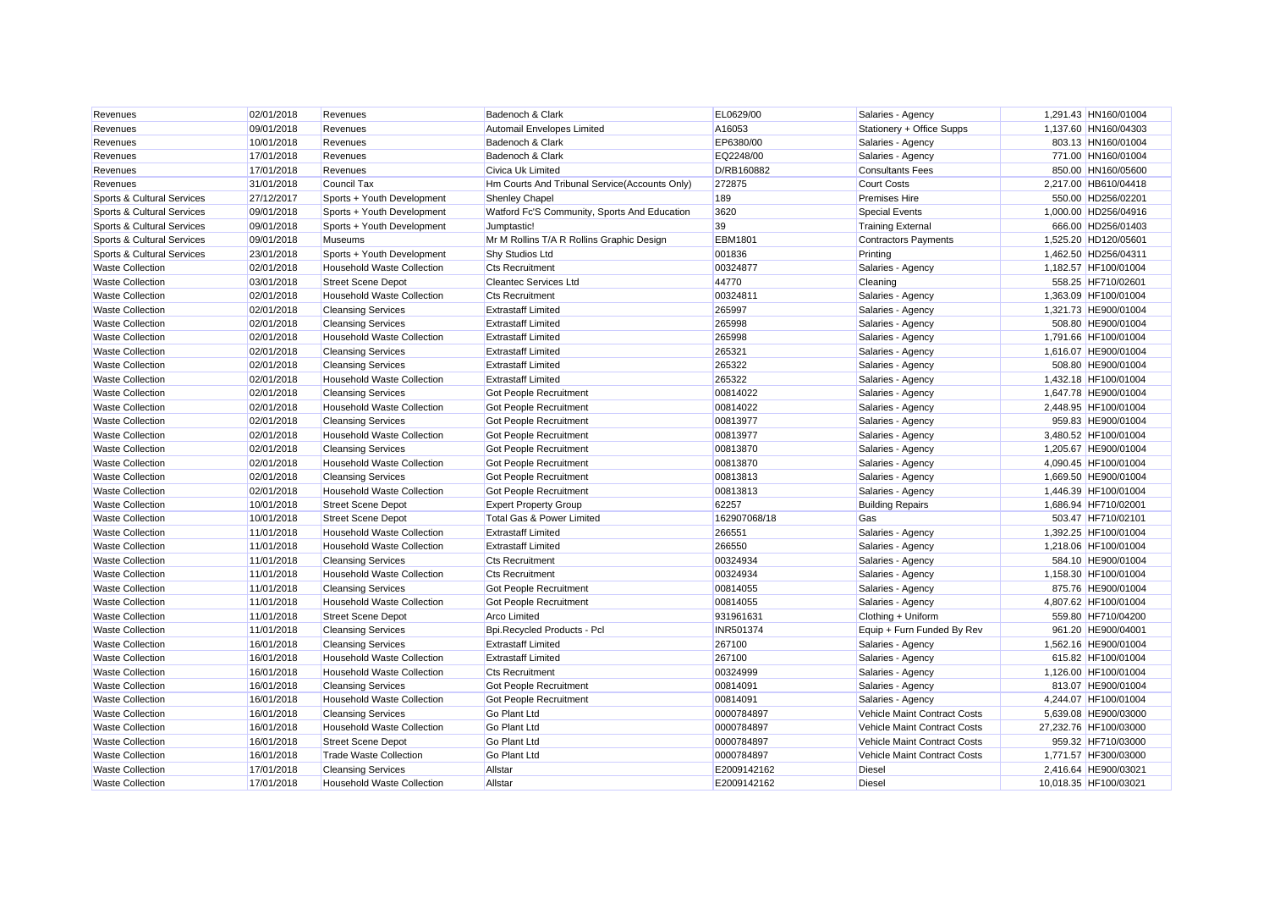| Revenues                   | 02/01/2018 | Revenues                          | Badenoch & Clark                               | EL0629/00      | Salaries - Agency            | 1,291.43 HN160/01004  |
|----------------------------|------------|-----------------------------------|------------------------------------------------|----------------|------------------------------|-----------------------|
| Revenues                   | 09/01/2018 | Revenues                          | Automail Envelopes Limited                     | A16053         | Stationery + Office Supps    | 1,137.60 HN160/04303  |
| Revenues                   | 10/01/2018 | Revenues                          | Badenoch & Clark                               | EP6380/00      | Salaries - Agency            | 803.13 HN160/01004    |
| Revenues                   | 17/01/2018 | Revenues                          | Badenoch & Clark                               | EQ2248/00      | Salaries - Agency            | 771.00 HN160/01004    |
| Revenues                   | 17/01/2018 | Revenues                          | Civica Uk Limited                              | D/RB160882     | <b>Consultants Fees</b>      | 850.00 HN160/05600    |
| Revenues                   | 31/01/2018 | Council Tax                       | Hm Courts And Tribunal Service (Accounts Only) | 272875         | <b>Court Costs</b>           | 2,217.00 HB610/04418  |
| Sports & Cultural Services | 27/12/2017 | Sports + Youth Development        | <b>Shenley Chapel</b>                          | 189            | <b>Premises Hire</b>         | 550.00 HD256/02201    |
| Sports & Cultural Services | 09/01/2018 | Sports + Youth Development        | Watford Fc'S Community, Sports And Education   | 3620           | <b>Special Events</b>        | 1,000.00 HD256/04916  |
| Sports & Cultural Services | 09/01/2018 | Sports + Youth Development        | Jumptastic!                                    | 39             | <b>Training External</b>     | 666.00 HD256/01403    |
| Sports & Cultural Services | 09/01/2018 | <b>Museums</b>                    | Mr M Rollins T/A R Rollins Graphic Design      | <b>EBM1801</b> | <b>Contractors Payments</b>  | 1.525.20 HD120/05601  |
| Sports & Cultural Services | 23/01/2018 | Sports + Youth Development        | <b>Shy Studios Ltd</b>                         | 001836         | Printing                     | 1,462.50 HD256/04311  |
| <b>Waste Collection</b>    | 02/01/2018 | <b>Household Waste Collection</b> | <b>Cts Recruitment</b>                         | 00324877       | Salaries - Agency            | 1,182.57 HF100/01004  |
| <b>Waste Collection</b>    | 03/01/2018 | <b>Street Scene Depot</b>         | <b>Cleantec Services Ltd</b>                   | 44770          | Cleaning                     | 558.25 HF710/02601    |
| <b>Waste Collection</b>    | 02/01/2018 | <b>Household Waste Collection</b> | <b>Cts Recruitment</b>                         | 00324811       | Salaries - Agency            | 1,363.09 HF100/01004  |
| <b>Waste Collection</b>    | 02/01/2018 | <b>Cleansing Services</b>         | <b>Extrastaff Limited</b>                      | 265997         | Salaries - Agency            | 1,321.73 HE900/01004  |
| <b>Waste Collection</b>    | 02/01/2018 | <b>Cleansing Services</b>         | <b>Extrastaff Limited</b>                      | 265998         | Salaries - Agency            | 508.80 HE900/01004    |
| <b>Waste Collection</b>    | 02/01/2018 | <b>Household Waste Collection</b> | <b>Extrastaff Limited</b>                      | 265998         | Salaries - Agency            | 1,791.66 HF100/01004  |
| <b>Waste Collection</b>    | 02/01/2018 | <b>Cleansing Services</b>         | <b>Extrastaff Limited</b>                      | 265321         | Salaries - Agency            | 1,616.07 HE900/01004  |
| <b>Waste Collection</b>    | 02/01/2018 | <b>Cleansing Services</b>         | <b>Extrastaff Limited</b>                      | 265322         | Salaries - Agency            | 508.80 HE900/01004    |
| <b>Waste Collection</b>    | 02/01/2018 | Household Waste Collection        | <b>Extrastaff Limited</b>                      | 265322         | Salaries - Agency            | 1,432.18 HF100/01004  |
| <b>Waste Collection</b>    | 02/01/2018 | <b>Cleansing Services</b>         | Got People Recruitment                         | 00814022       | Salaries - Agency            | 1,647.78 HE900/01004  |
| <b>Waste Collection</b>    | 02/01/2018 | <b>Household Waste Collection</b> | Got People Recruitment                         | 00814022       | Salaries - Agency            | 2,448.95 HF100/01004  |
| <b>Waste Collection</b>    | 02/01/2018 | <b>Cleansing Services</b>         | Got People Recruitment                         | 00813977       | Salaries - Agency            | 959.83 HE900/01004    |
| <b>Waste Collection</b>    | 02/01/2018 | <b>Household Waste Collection</b> | Got People Recruitment                         | 00813977       | Salaries - Agency            | 3,480.52 HF100/01004  |
| <b>Waste Collection</b>    | 02/01/2018 | <b>Cleansing Services</b>         | <b>Got People Recruitment</b>                  | 00813870       | Salaries - Agency            | 1,205.67 HE900/01004  |
| <b>Waste Collection</b>    | 02/01/2018 | <b>Household Waste Collection</b> | Got People Recruitment                         | 00813870       | Salaries - Agency            | 4,090.45 HF100/01004  |
| <b>Waste Collection</b>    | 02/01/2018 | <b>Cleansing Services</b>         | <b>Got People Recruitment</b>                  | 00813813       | Salaries - Agency            | 1,669.50 HE900/01004  |
| <b>Waste Collection</b>    | 02/01/2018 | Household Waste Collection        | <b>Got People Recruitment</b>                  | 00813813       | Salaries - Agency            | 1.446.39 HF100/01004  |
| <b>Waste Collection</b>    | 10/01/2018 | <b>Street Scene Depot</b>         | <b>Expert Property Group</b>                   | 62257          | <b>Building Repairs</b>      | 1,686.94 HF710/02001  |
| <b>Waste Collection</b>    | 10/01/2018 | <b>Street Scene Depot</b>         | Total Gas & Power Limited                      | 162907068/18   | Gas                          | 503.47 HF710/02101    |
| <b>Waste Collection</b>    | 11/01/2018 | <b>Household Waste Collection</b> | <b>Extrastaff Limited</b>                      | 266551         | Salaries - Agency            | 1,392.25 HF100/01004  |
| <b>Waste Collection</b>    | 11/01/2018 | Household Waste Collection        | <b>Extrastaff Limited</b>                      | 266550         | Salaries - Agency            | 1,218.06 HF100/01004  |
| <b>Waste Collection</b>    | 11/01/2018 | <b>Cleansing Services</b>         | <b>Cts Recruitment</b>                         | 00324934       | Salaries - Agency            | 584.10 HE900/01004    |
| <b>Waste Collection</b>    | 11/01/2018 | <b>Household Waste Collection</b> | <b>Cts Recruitment</b>                         | 00324934       | Salaries - Agency            | 1,158.30 HF100/01004  |
| <b>Waste Collection</b>    | 11/01/2018 | <b>Cleansing Services</b>         | <b>Got People Recruitment</b>                  | 00814055       | Salaries - Agency            | 875.76 HE900/01004    |
| <b>Waste Collection</b>    | 11/01/2018 | <b>Household Waste Collection</b> | Got People Recruitment                         | 00814055       | Salaries - Agency            | 4,807.62 HF100/01004  |
| <b>Waste Collection</b>    | 11/01/2018 | <b>Street Scene Depot</b>         | <b>Arco Limited</b>                            | 931961631      | Clothing + Uniform           | 559.80 HF710/04200    |
| <b>Waste Collection</b>    | 11/01/2018 | <b>Cleansing Services</b>         | Bpi.Recycled Products - Pcl                    | INR501374      | Equip + Furn Funded By Rev   | 961.20 HE900/04001    |
| <b>Waste Collection</b>    | 16/01/2018 | <b>Cleansing Services</b>         | <b>Extrastaff Limited</b>                      | 267100         | Salaries - Agency            | 1,562.16 HE900/01004  |
| <b>Waste Collection</b>    | 16/01/2018 | <b>Household Waste Collection</b> | <b>Extrastaff Limited</b>                      | 267100         | Salaries - Agency            | 615.82 HF100/01004    |
| <b>Waste Collection</b>    | 16/01/2018 | <b>Household Waste Collection</b> | <b>Cts Recruitment</b>                         | 00324999       | Salaries - Agency            | 1,126.00 HF100/01004  |
| <b>Waste Collection</b>    | 16/01/2018 | <b>Cleansing Services</b>         | Got People Recruitment                         | 00814091       | Salaries - Agency            | 813.07 HE900/01004    |
| <b>Waste Collection</b>    | 16/01/2018 | <b>Household Waste Collection</b> | Got People Recruitment                         | 00814091       | Salaries - Agency            | 4,244.07 HF100/01004  |
| <b>Waste Collection</b>    | 16/01/2018 | <b>Cleansing Services</b>         | <b>Go Plant Ltd</b>                            | 0000784897     | Vehicle Maint Contract Costs | 5,639.08 HE900/03000  |
| <b>Waste Collection</b>    | 16/01/2018 | Household Waste Collection        | <b>Go Plant Ltd</b>                            | 0000784897     | Vehicle Maint Contract Costs | 27,232.76 HF100/03000 |
| <b>Waste Collection</b>    | 16/01/2018 | <b>Street Scene Depot</b>         | <b>Go Plant Ltd</b>                            | 0000784897     | Vehicle Maint Contract Costs | 959.32 HF710/03000    |
| <b>Waste Collection</b>    | 16/01/2018 | <b>Trade Waste Collection</b>     | Go Plant Ltd                                   | 0000784897     | Vehicle Maint Contract Costs | 1,771.57 HF300/03000  |
| <b>Waste Collection</b>    | 17/01/2018 | <b>Cleansing Services</b>         | Allstar                                        | E2009142162    | <b>Diesel</b>                | 2.416.64 HE900/03021  |
| <b>Waste Collection</b>    | 17/01/2018 | <b>Household Waste Collection</b> | Allstar                                        | E2009142162    | <b>Diesel</b>                | 10.018.35 HF100/03021 |
|                            |            |                                   |                                                |                |                              |                       |